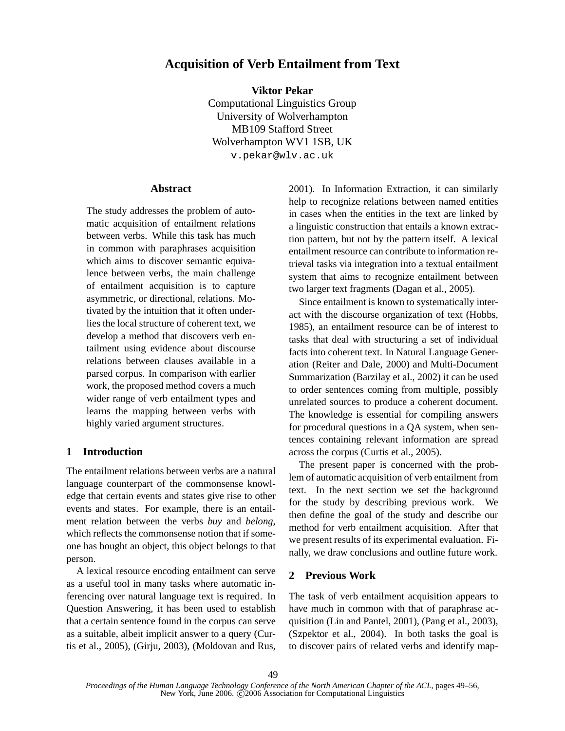# **Acquisition of Verb Entailment from Text**

**Viktor Pekar**

Computational Linguistics Group University of Wolverhampton MB109 Stafford Street Wolverhampton WV1 1SB, UK v.pekar@wlv.ac.uk

## **Abstract**

The study addresses the problem of automatic acquisition of entailment relations between verbs. While this task has much in common with paraphrases acquisition which aims to discover semantic equivalence between verbs, the main challenge of entailment acquisition is to capture asymmetric, or directional, relations. Motivated by the intuition that it often underlies the local structure of coherent text, we develop a method that discovers verb entailment using evidence about discourse relations between clauses available in a parsed corpus. In comparison with earlier work, the proposed method covers a much wider range of verb entailment types and learns the mapping between verbs with highly varied argument structures.

# **1 Introduction**

The entailment relations between verbs are a natural language counterpart of the commonsense knowledge that certain events and states give rise to other events and states. For example, there is an entailment relation between the verbs *buy* and *belong*, which reflects the commonsense notion that if someone has bought an object, this object belongs to that person.

A lexical resource encoding entailment can serve as a useful tool in many tasks where automatic inferencing over natural language text is required. In Question Answering, it has been used to establish that a certain sentence found in the corpus can serve as a suitable, albeit implicit answer to a query (Curtis et al., 2005), (Girju, 2003), (Moldovan and Rus, 2001). In Information Extraction, it can similarly help to recognize relations between named entities in cases when the entities in the text are linked by a linguistic construction that entails a known extraction pattern, but not by the pattern itself. A lexical entailment resource can contribute to information retrieval tasks via integration into a textual entailment system that aims to recognize entailment between two larger text fragments (Dagan et al., 2005).

Since entailment is known to systematically interact with the discourse organization of text (Hobbs, 1985), an entailment resource can be of interest to tasks that deal with structuring a set of individual facts into coherent text. In Natural Language Generation (Reiter and Dale, 2000) and Multi-Document Summarization (Barzilay et al., 2002) it can be used to order sentences coming from multiple, possibly unrelated sources to produce a coherent document. The knowledge is essential for compiling answers for procedural questions in a QA system, when sentences containing relevant information are spread across the corpus (Curtis et al., 2005).

The present paper is concerned with the problem of automatic acquisition of verb entailment from text. In the next section we set the background for the study by describing previous work. We then define the goal of the study and describe our method for verb entailment acquisition. After that we present results of its experimental evaluation. Finally, we draw conclusions and outline future work.

## **2 Previous Work**

The task of verb entailment acquisition appears to have much in common with that of paraphrase acquisition (Lin and Pantel, 2001), (Pang et al., 2003), (Szpektor et al., 2004). In both tasks the goal is to discover pairs of related verbs and identify map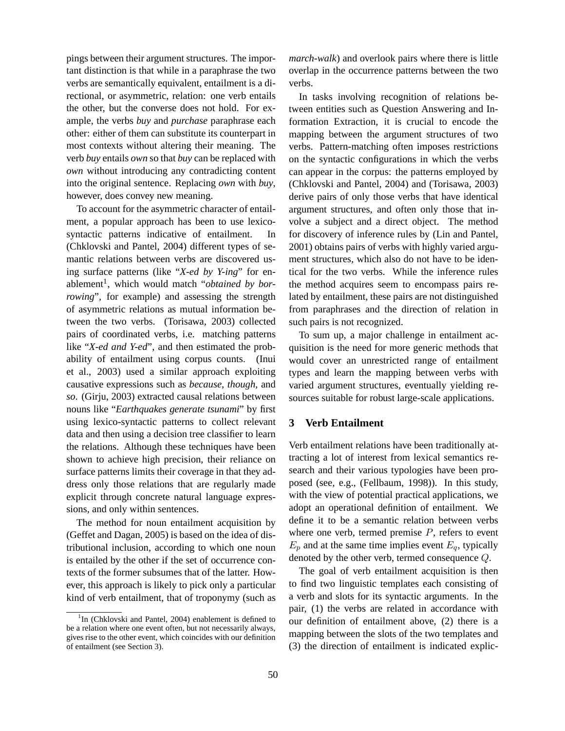pings between their argument structures. The important distinction is that while in a paraphrase the two verbs are semantically equivalent, entailment is a directional, or asymmetric, relation: one verb entails the other, but the converse does not hold. For example, the verbs *buy* and *purchase* paraphrase each other: either of them can substitute its counterpart in most contexts without altering their meaning. The verb *buy* entails *own* so that *buy* can be replaced with *own* without introducing any contradicting content into the original sentence. Replacing *own* with *buy*, however, does convey new meaning.

To account for the asymmetric character of entailment, a popular approach has been to use lexicosyntactic patterns indicative of entailment. In (Chklovski and Pantel, 2004) different types of semantic relations between verbs are discovered using surface patterns (like "*X-ed by Y-ing*" for enablement<sup>1</sup>, which would match "obtained by bor*rowing*", for example) and assessing the strength of asymmetric relations as mutual information between the two verbs. (Torisawa, 2003) collected pairs of coordinated verbs, i.e. matching patterns like "*X-ed and Y-ed*", and then estimated the probability of entailment using corpus counts. (Inui et al., 2003) used a similar approach exploiting causative expressions such as *because*, *though*, and *so*. (Girju, 2003) extracted causal relations between nouns like "*Earthquakes generate tsunami*" by first using lexico-syntactic patterns to collect relevant data and then using a decision tree classifier to learn the relations. Although these techniques have been shown to achieve high precision, their reliance on surface patterns limits their coverage in that they address only those relations that are regularly made explicit through concrete natural language expressions, and only within sentences.

The method for noun entailment acquisition by (Geffet and Dagan, 2005) is based on the idea of distributional inclusion, according to which one noun is entailed by the other if the set of occurrence contexts of the former subsumes that of the latter. However, this approach is likely to pick only a particular kind of verb entailment, that of troponymy (such as *march-walk*) and overlook pairs where there is little overlap in the occurrence patterns between the two verbs.

In tasks involving recognition of relations between entities such as Question Answering and Information Extraction, it is crucial to encode the mapping between the argument structures of two verbs. Pattern-matching often imposes restrictions on the syntactic configurations in which the verbs can appear in the corpus: the patterns employed by (Chklovski and Pantel, 2004) and (Torisawa, 2003) derive pairs of only those verbs that have identical argument structures, and often only those that involve a subject and a direct object. The method for discovery of inference rules by (Lin and Pantel, 2001) obtains pairs of verbs with highly varied argument structures, which also do not have to be identical for the two verbs. While the inference rules the method acquires seem to encompass pairs related by entailment, these pairs are not distinguished from paraphrases and the direction of relation in such pairs is not recognized.

To sum up, a major challenge in entailment acquisition is the need for more generic methods that would cover an unrestricted range of entailment types and learn the mapping between verbs with varied argument structures, eventually yielding resources suitable for robust large-scale applications.

# **3 Verb Entailment**

Verb entailment relations have been traditionally attracting a lot of interest from lexical semantics research and their various typologies have been proposed (see, e.g., (Fellbaum, 1998)). In this study, with the view of potential practical applications, we adopt an operational definition of entailment. We define it to be a semantic relation between verbs where one verb, termed premise  $P$ , refers to event  $E_p$  and at the same time implies event  $E_q$ , typically denoted by the other verb, termed consequence Q.

The goal of verb entailment acquisition is then to find two linguistic templates each consisting of a verb and slots for its syntactic arguments. In the pair, (1) the verbs are related in accordance with our definition of entailment above, (2) there is a mapping between the slots of the two templates and (3) the direction of entailment is indicated explic-

<sup>&</sup>lt;sup>1</sup>In (Chklovski and Pantel, 2004) enablement is defined to be a relation where one event often, but not necessarily always, gives rise to the other event, which coincides with our definition of entailment (see Section 3).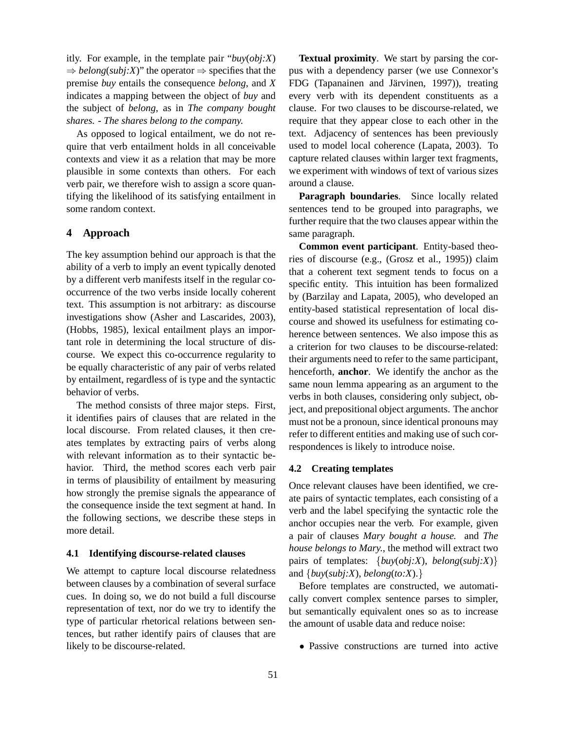itly. For example, in the template pair "*buy*(*obj:X*)  $\Rightarrow$  *belong*(*subj:X*)" the operator  $\Rightarrow$  specifies that the premise *buy* entails the consequence *belong*, and *X* indicates a mapping between the object of *buy* and the subject of *belong*, as in *The company bought shares. - The shares belong to the company.*

As opposed to logical entailment, we do not require that verb entailment holds in all conceivable contexts and view it as a relation that may be more plausible in some contexts than others. For each verb pair, we therefore wish to assign a score quantifying the likelihood of its satisfying entailment in some random context.

## **4 Approach**

The key assumption behind our approach is that the ability of a verb to imply an event typically denoted by a different verb manifests itself in the regular cooccurrence of the two verbs inside locally coherent text. This assumption is not arbitrary: as discourse investigations show (Asher and Lascarides, 2003), (Hobbs, 1985), lexical entailment plays an important role in determining the local structure of discourse. We expect this co-occurrence regularity to be equally characteristic of any pair of verbs related by entailment, regardless of is type and the syntactic behavior of verbs.

The method consists of three major steps. First, it identifies pairs of clauses that are related in the local discourse. From related clauses, it then creates templates by extracting pairs of verbs along with relevant information as to their syntactic behavior. Third, the method scores each verb pair in terms of plausibility of entailment by measuring how strongly the premise signals the appearance of the consequence inside the text segment at hand. In the following sections, we describe these steps in more detail.

#### **4.1 Identifying discourse-related clauses**

We attempt to capture local discourse relatedness between clauses by a combination of several surface cues. In doing so, we do not build a full discourse representation of text, nor do we try to identify the type of particular rhetorical relations between sentences, but rather identify pairs of clauses that are likely to be discourse-related.

**Textual proximity**. We start by parsing the corpus with a dependency parser (we use Connexor's FDG (Tapanainen and Järvinen, 1997)), treating every verb with its dependent constituents as a clause. For two clauses to be discourse-related, we require that they appear close to each other in the text. Adjacency of sentences has been previously used to model local coherence (Lapata, 2003). To capture related clauses within larger text fragments, we experiment with windows of text of various sizes around a clause.

**Paragraph boundaries**. Since locally related sentences tend to be grouped into paragraphs, we further require that the two clauses appear within the same paragraph.

**Common event participant**. Entity-based theories of discourse (e.g., (Grosz et al., 1995)) claim that a coherent text segment tends to focus on a specific entity. This intuition has been formalized by (Barzilay and Lapata, 2005), who developed an entity-based statistical representation of local discourse and showed its usefulness for estimating coherence between sentences. We also impose this as a criterion for two clauses to be discourse-related: their arguments need to refer to the same participant, henceforth, **anchor**. We identify the anchor as the same noun lemma appearing as an argument to the verbs in both clauses, considering only subject, object, and prepositional object arguments. The anchor must not be a pronoun, since identical pronouns may refer to different entities and making use of such correspondences is likely to introduce noise.

#### **4.2 Creating templates**

Once relevant clauses have been identified, we create pairs of syntactic templates, each consisting of a verb and the label specifying the syntactic role the anchor occupies near the verb. For example, given a pair of clauses *Mary bought a house.* and *The house belongs to Mary.*, the method will extract two pairs of templates: {*buy*(*obj:X*), *belong*(*subj:X*)} and  $\{buy(subj:X), belong(to:X). \}$ 

Before templates are constructed, we automatically convert complex sentence parses to simpler, but semantically equivalent ones so as to increase the amount of usable data and reduce noise:

• Passive constructions are turned into active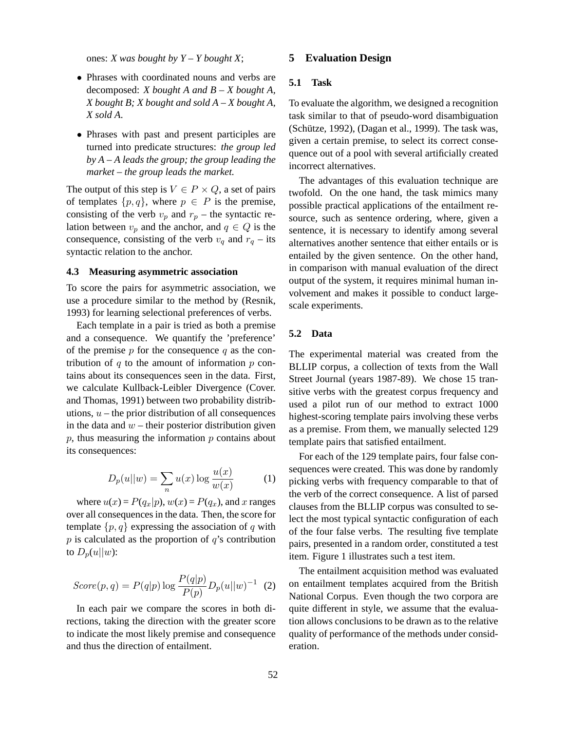ones: *X was bought by Y – Y bought X*;

- Phrases with coordinated nouns and verbs are decomposed: *X bought A and B – X bought A, X bought B; X bought and sold A – X bought A, X sold A*.
- Phrases with past and present participles are turned into predicate structures: *the group led by A – A leads the group; the group leading the market – the group leads the market.*

The output of this step is  $V \in P \times Q$ , a set of pairs of templates  $\{p,q\}$ , where  $p \in P$  is the premise, consisting of the verb  $v_p$  and  $r_p$  – the syntactic relation between  $v_p$  and the anchor, and  $q \in Q$  is the consequence, consisting of the verb  $v_q$  and  $r_q$  – its syntactic relation to the anchor.

## **4.3 Measuring asymmetric association**

To score the pairs for asymmetric association, we use a procedure similar to the method by (Resnik, 1993) for learning selectional preferences of verbs.

Each template in a pair is tried as both a premise and a consequence. We quantify the 'preference' of the premise  $p$  for the consequence  $q$  as the contribution of  $q$  to the amount of information  $p$  contains about its consequences seen in the data. First, we calculate Kullback-Leibler Divergence (Cover. and Thomas, 1991) between two probability distributions,  $u$  – the prior distribution of all consequences in the data and  $w$  – their posterior distribution given  $p$ , thus measuring the information  $p$  contains about its consequences:

$$
D_p(u||w) = \sum_n u(x) \log \frac{u(x)}{w(x)} \tag{1}
$$

where  $u(x) = P(q_x|p)$ ,  $w(x) = P(q_x)$ , and x ranges over all consequences in the data. Then, the score for template  $\{p, q\}$  expressing the association of q with  $p$  is calculated as the proportion of  $q$ 's contribution to  $D_p(u||w)$ :

$$
Score(p,q) = P(q|p) \log \frac{P(q|p)}{P(p)} D_p(u||w)^{-1} (2)
$$

In each pair we compare the scores in both directions, taking the direction with the greater score to indicate the most likely premise and consequence and thus the direction of entailment.

## **5 Evaluation Design**

## **5.1 Task**

To evaluate the algorithm, we designed a recognition task similar to that of pseudo-word disambiguation  $(Schütze, 1992)$ ,  $(Dagan et al., 1999)$ . The task was, given a certain premise, to select its correct consequence out of a pool with several artificially created incorrect alternatives.

The advantages of this evaluation technique are twofold. On the one hand, the task mimics many possible practical applications of the entailment resource, such as sentence ordering, where, given a sentence, it is necessary to identify among several alternatives another sentence that either entails or is entailed by the given sentence. On the other hand, in comparison with manual evaluation of the direct output of the system, it requires minimal human involvement and makes it possible to conduct largescale experiments.

#### **5.2 Data**

The experimental material was created from the BLLIP corpus, a collection of texts from the Wall Street Journal (years 1987-89). We chose 15 transitive verbs with the greatest corpus frequency and used a pilot run of our method to extract 1000 highest-scoring template pairs involving these verbs as a premise. From them, we manually selected 129 template pairs that satisfied entailment.

For each of the 129 template pairs, four false consequences were created. This was done by randomly picking verbs with frequency comparable to that of the verb of the correct consequence. A list of parsed clauses from the BLLIP corpus was consulted to select the most typical syntactic configuration of each of the four false verbs. The resulting five template pairs, presented in a random order, constituted a test item. Figure 1 illustrates such a test item.

The entailment acquisition method was evaluated on entailment templates acquired from the British National Corpus. Even though the two corpora are quite different in style, we assume that the evaluation allows conclusions to be drawn as to the relative quality of performance of the methods under consideration.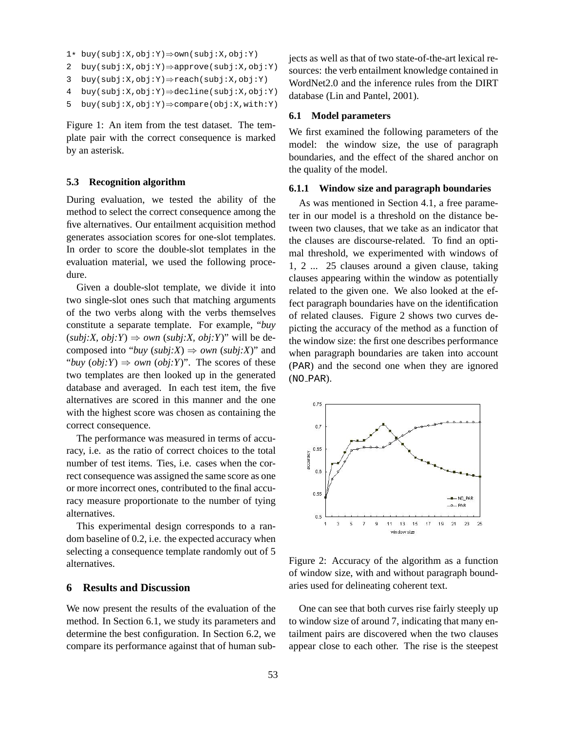```
1* buy(subj:X,obj:Y)⇒own(subj:X,obj:Y)
```

```
2 buy(subj:X,obj:Y)⇒approve(subj:X,obj:Y)
```

```
3 buy(subj:X,obj:Y)⇒reach(subj:X,obj:Y)
```

```
4 buy(subj:X,obj:Y)⇒decline(subj:X,obj:Y)
```

```
5 buy(subj:X,obj:Y)⇒compare(obj:X,with:Y)
```
Figure 1: An item from the test dataset. The template pair with the correct consequence is marked by an asterisk.

#### **5.3 Recognition algorithm**

During evaluation, we tested the ability of the method to select the correct consequence among the five alternatives. Our entailment acquisition method generates association scores for one-slot templates. In order to score the double-slot templates in the evaluation material, we used the following procedure.

Given a double-slot template, we divide it into two single-slot ones such that matching arguments of the two verbs along with the verbs themselves constitute a separate template. For example, "*buy*  $(subj:X, obj:Y) \Rightarrow own (subj:X, obj:Y)"$  will be decomposed into "*buy* ( $\text{subj}:X$ )  $\Rightarrow$  *own* ( $\text{subj}:X$ )" and "*buy*  $(obj:Y) \Rightarrow own(obj:Y)$ ". The scores of these two templates are then looked up in the generated database and averaged. In each test item, the five alternatives are scored in this manner and the one with the highest score was chosen as containing the correct consequence.

The performance was measured in terms of accuracy, i.e. as the ratio of correct choices to the total number of test items. Ties, i.e. cases when the correct consequence was assigned the same score as one or more incorrect ones, contributed to the final accuracy measure proportionate to the number of tying alternatives.

This experimental design corresponds to a random baseline of 0.2, i.e. the expected accuracy when selecting a consequence template randomly out of 5 alternatives.

#### **6 Results and Discussion**

We now present the results of the evaluation of the method. In Section 6.1, we study its parameters and determine the best configuration. In Section 6.2, we compare its performance against that of human subjects as well as that of two state-of-the-art lexical resources: the verb entailment knowledge contained in WordNet2.0 and the inference rules from the DIRT database (Lin and Pantel, 2001).

#### **6.1 Model parameters**

We first examined the following parameters of the model: the window size, the use of paragraph boundaries, and the effect of the shared anchor on the quality of the model.

#### **6.1.1 Window size and paragraph boundaries**

As was mentioned in Section 4.1, a free parameter in our model is a threshold on the distance between two clauses, that we take as an indicator that the clauses are discourse-related. To find an optimal threshold, we experimented with windows of 1, 2 ... 25 clauses around a given clause, taking clauses appearing within the window as potentially related to the given one. We also looked at the effect paragraph boundaries have on the identification of related clauses. Figure 2 shows two curves depicting the accuracy of the method as a function of the window size: the first one describes performance when paragraph boundaries are taken into account (PAR) and the second one when they are ignored  $(NO$  $PAR)$ .



Figure 2: Accuracy of the algorithm as a function of window size, with and without paragraph boundaries used for delineating coherent text.

One can see that both curves rise fairly steeply up to window size of around 7, indicating that many entailment pairs are discovered when the two clauses appear close to each other. The rise is the steepest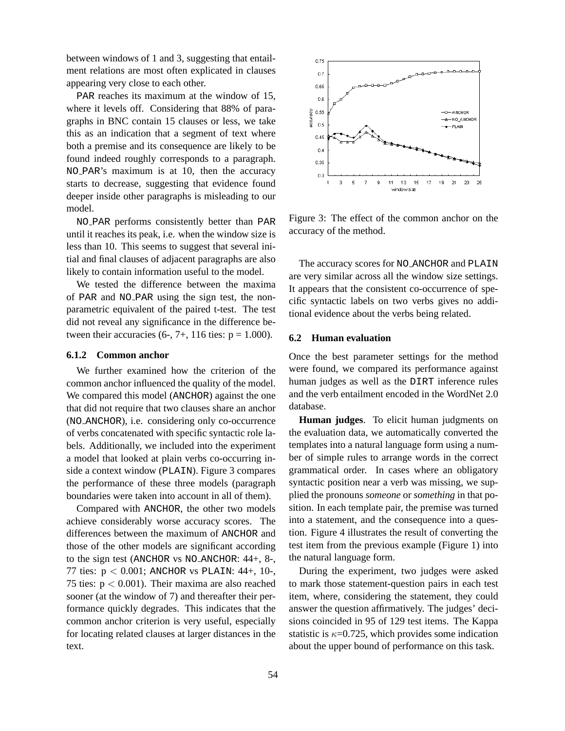between windows of 1 and 3, suggesting that entailment relations are most often explicated in clauses appearing very close to each other.

PAR reaches its maximum at the window of 15, where it levels off. Considering that 88% of paragraphs in BNC contain 15 clauses or less, we take this as an indication that a segment of text where both a premise and its consequence are likely to be found indeed roughly corresponds to a paragraph. NO PAR's maximum is at 10, then the accuracy starts to decrease, suggesting that evidence found deeper inside other paragraphs is misleading to our model.

NO PAR performs consistently better than PAR until it reaches its peak, i.e. when the window size is less than 10. This seems to suggest that several initial and final clauses of adjacent paragraphs are also likely to contain information useful to the model.

We tested the difference between the maxima of PAR and NO PAR using the sign test, the nonparametric equivalent of the paired t-test. The test did not reveal any significance in the difference between their accuracies  $(6-, 7+, 116$  ties:  $p = 1.000$ ).

#### **6.1.2 Common anchor**

We further examined how the criterion of the common anchor influenced the quality of the model. We compared this model (ANCHOR) against the one that did not require that two clauses share an anchor (NO ANCHOR), i.e. considering only co-occurrence of verbs concatenated with specific syntactic role labels. Additionally, we included into the experiment a model that looked at plain verbs co-occurring inside a context window (PLAIN). Figure 3 compares the performance of these three models (paragraph boundaries were taken into account in all of them).

Compared with ANCHOR, the other two models achieve considerably worse accuracy scores. The differences between the maximum of ANCHOR and those of the other models are significant according to the sign test (ANCHOR vs NO ANCHOR: 44+, 8-, 77 ties:  $p < 0.001$ ; ANCHOR vs PLAIN: 44+, 10-, 75 ties:  $p < 0.001$ ). Their maxima are also reached sooner (at the window of 7) and thereafter their performance quickly degrades. This indicates that the common anchor criterion is very useful, especially for locating related clauses at larger distances in the text.



Figure 3: The effect of the common anchor on the accuracy of the method.

The accuracy scores for NO ANCHOR and PLAIN are very similar across all the window size settings. It appears that the consistent co-occurrence of specific syntactic labels on two verbs gives no additional evidence about the verbs being related.

#### **6.2 Human evaluation**

Once the best parameter settings for the method were found, we compared its performance against human judges as well as the DIRT inference rules and the verb entailment encoded in the WordNet 2.0 database.

**Human judges**. To elicit human judgments on the evaluation data, we automatically converted the templates into a natural language form using a number of simple rules to arrange words in the correct grammatical order. In cases where an obligatory syntactic position near a verb was missing, we supplied the pronouns *someone* or *something* in that position. In each template pair, the premise was turned into a statement, and the consequence into a question. Figure 4 illustrates the result of converting the test item from the previous example (Figure 1) into the natural language form.

During the experiment, two judges were asked to mark those statement-question pairs in each test item, where, considering the statement, they could answer the question affirmatively. The judges' decisions coincided in 95 of 129 test items. The Kappa statistic is  $\kappa$ =0.725, which provides some indication about the upper bound of performance on this task.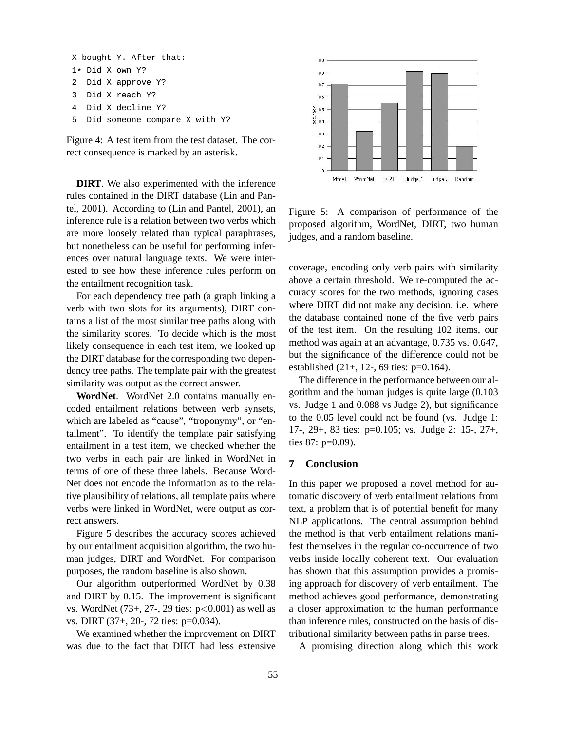```
X bought Y. After that:
1* Did X own Y?
2 Did X approve Y?
3 Did X reach Y?
4 Did X decline Y?
5 Did someone compare X with Y?
```
Figure 4: A test item from the test dataset. The correct consequence is marked by an asterisk.

**DIRT**. We also experimented with the inference rules contained in the DIRT database (Lin and Pantel, 2001). According to (Lin and Pantel, 2001), an inference rule is a relation between two verbs which are more loosely related than typical paraphrases, but nonetheless can be useful for performing inferences over natural language texts. We were interested to see how these inference rules perform on the entailment recognition task.

For each dependency tree path (a graph linking a verb with two slots for its arguments), DIRT contains a list of the most similar tree paths along with the similarity scores. To decide which is the most likely consequence in each test item, we looked up the DIRT database for the corresponding two dependency tree paths. The template pair with the greatest similarity was output as the correct answer.

**WordNet**. WordNet 2.0 contains manually encoded entailment relations between verb synsets, which are labeled as "cause", "troponymy", or "entailment". To identify the template pair satisfying entailment in a test item, we checked whether the two verbs in each pair are linked in WordNet in terms of one of these three labels. Because Word-Net does not encode the information as to the relative plausibility of relations, all template pairs where verbs were linked in WordNet, were output as correct answers.

Figure 5 describes the accuracy scores achieved by our entailment acquisition algorithm, the two human judges, DIRT and WordNet. For comparison purposes, the random baseline is also shown.

Our algorithm outperformed WordNet by 0.38 and DIRT by 0.15. The improvement is significant vs. WordNet (73+, 27-, 29 ties: p<0.001) as well as vs. DIRT (37+, 20-, 72 ties: p=0.034).

We examined whether the improvement on DIRT was due to the fact that DIRT had less extensive



Figure 5: A comparison of performance of the proposed algorithm, WordNet, DIRT, two human judges, and a random baseline.

coverage, encoding only verb pairs with similarity above a certain threshold. We re-computed the accuracy scores for the two methods, ignoring cases where DIRT did not make any decision, i.e. where the database contained none of the five verb pairs of the test item. On the resulting 102 items, our method was again at an advantage, 0.735 vs. 0.647, but the significance of the difference could not be established (21+, 12-, 69 ties: p=0.164).

The difference in the performance between our algorithm and the human judges is quite large (0.103 vs. Judge 1 and 0.088 vs Judge 2), but significance to the 0.05 level could not be found (vs. Judge 1: 17-, 29+, 83 ties: p=0.105; vs. Judge 2: 15-, 27+, ties 87: p=0.09).

#### **7 Conclusion**

In this paper we proposed a novel method for automatic discovery of verb entailment relations from text, a problem that is of potential benefit for many NLP applications. The central assumption behind the method is that verb entailment relations manifest themselves in the regular co-occurrence of two verbs inside locally coherent text. Our evaluation has shown that this assumption provides a promising approach for discovery of verb entailment. The method achieves good performance, demonstrating a closer approximation to the human performance than inference rules, constructed on the basis of distributional similarity between paths in parse trees.

A promising direction along which this work